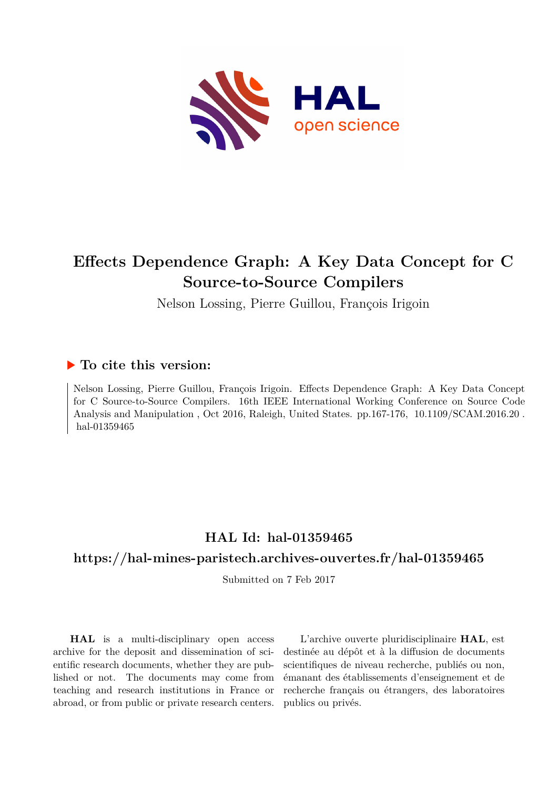

# **Effects Dependence Graph: A Key Data Concept for C Source-to-Source Compilers**

Nelson Lossing, Pierre Guillou, François Irigoin

### **To cite this version:**

Nelson Lossing, Pierre Guillou, François Irigoin. Effects Dependence Graph: A Key Data Concept for C Source-to-Source Compilers. 16th IEEE International Working Conference on Source Code Analysis and Manipulation , Oct 2016, Raleigh, United States. pp.167-176,  $10.1109/SCAM.2016.20$ . hal-01359465

## **HAL Id: hal-01359465**

## **<https://hal-mines-paristech.archives-ouvertes.fr/hal-01359465>**

Submitted on 7 Feb 2017

**HAL** is a multi-disciplinary open access archive for the deposit and dissemination of scientific research documents, whether they are published or not. The documents may come from teaching and research institutions in France or abroad, or from public or private research centers.

L'archive ouverte pluridisciplinaire **HAL**, est destinée au dépôt et à la diffusion de documents scientifiques de niveau recherche, publiés ou non, émanant des établissements d'enseignement et de recherche français ou étrangers, des laboratoires publics ou privés.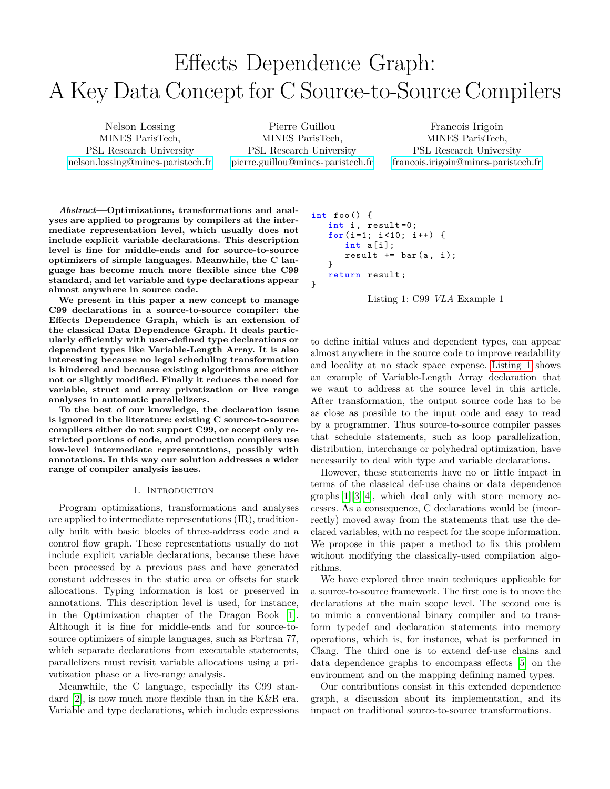# Effects Dependence Graph: A Key Data Concept for C Source-to-Source Compilers

Nelson Lossing MINES ParisTech, PSL Research University <nelson.lossing@mines-paristech.fr>

Pierre Guillou MINES ParisTech, PSL Research University <pierre.guillou@mines-paristech.fr>

Francois Irigoin MINES ParisTech, PSL Research University <francois.irigoin@mines-paristech.fr>

*Abstract***—Optimizations, transformations and analyses are applied to programs by compilers at the intermediate representation level, which usually does not include explicit variable declarations. This description level is fine for middle-ends and for source-to-source optimizers of simple languages. Meanwhile, the C language has become much more flexible since the C99 standard, and let variable and type declarations appear almost anywhere in source code.**

**We present in this paper a new concept to manage C99 declarations in a source-to-source compiler: the Effects Dependence Graph, which is an extension of the classical Data Dependence Graph. It deals particularly efficiently with user-defined type declarations or dependent types like Variable-Length Array. It is also interesting because no legal scheduling transformation is hindered and because existing algorithms are either not or slightly modified. Finally it reduces the need for variable, struct and array privatization or live range analyses in automatic parallelizers.**

**To the best of our knowledge, the declaration issue is ignored in the literature: existing C source-to-source compilers either do not support C99, or accept only restricted portions of code, and production compilers use low-level intermediate representations, possibly with annotations. In this way our solution addresses a wider range of compiler analysis issues.**

#### I. Introduction

Program optimizations, transformations and analyses are applied to intermediate representations (IR), traditionally built with basic blocks of three-address code and a control flow graph. These representations usually do not include explicit variable declarations, because these have been processed by a previous pass and have generated constant addresses in the static area or offsets for stack allocations. Typing information is lost or preserved in annotations. This description level is used, for instance, in the Optimization chapter of the Dragon Book [1]. Although it is fine for middle-ends and for source-tosource optimizers of simple languages, such as Fortran 77, which separate declarations from executable statements, parallelizers must revisit variable allocations using a privatization phase or a live-range analysis.

Meanwhile, the C language, especially its C99 standard [2], is now much more flexible than in the K&R era. Variable and type declarations, which include expressions

```
int foo () {
   int i, result =0;
   for(i=1; i < 10; i++) {
      int a[i];
      result += bar(a, i);}
   return result ;
}
```


to define initial values and dependent types, can appear almost anywhere in the source code to improve readability and locality at no stack space expense. Listing 1 shows an example of Variable-Length Array declaration that we want to address at the source level in this article. After transformation, the output source code has to be as close as possible to the input code and easy to read by a programmer. Thus source-to-source compiler passes that schedule statements, such as loop parallelization, distribution, interchange or polyhedral optimization, have necessarily to deal with type and variable declarations.

However, these statements have no or little impact in terms of the classical def-use chains or data dependence graphs [1][3][4], which deal only with store memory accesses. As a consequence, C declarations would be (incorrectly) moved away from the statements that use the declared variables, with no respect for the scope information. We propose in this paper a method to fix this problem without modifying the classically-used compilation algorithms.

We have explored three main techniques applicable for a source-to-source framework. The first one is to move the declarations at the main scope level. The second one is to mimic a conventional binary compiler and to transform typedef and declaration statements into memory operations, which is, for instance, what is performed in Clang. The third one is to extend def-use chains and data dependence graphs to encompass effects [5] on the environment and on the mapping defining named types.

Our contributions consist in this extended dependence graph, a discussion about its implementation, and its impact on traditional source-to-source transformations.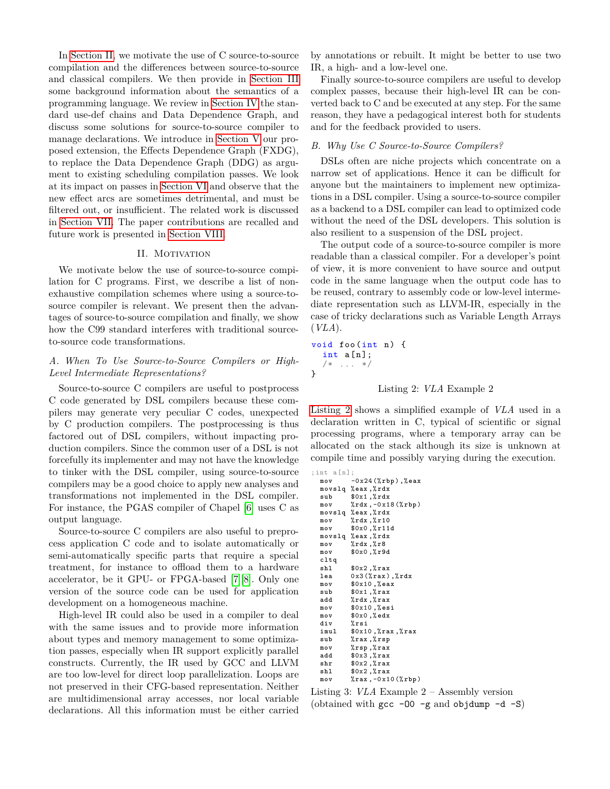In Section II, we motivate the use of C source-to-source compilation and the differences between source-to-source and classical compilers. We then provide in Section III some background information about the semantics of a programming language. We review in Section IV the standard use-def chains and Data Dependence Graph, and discuss some solutions for source-to-source compiler to manage declarations. We introduce in Section V our proposed extension, the Effects Dependence Graph (FXDG), to replace the Data Dependence Graph (DDG) as argument to existing scheduling compilation passes. We look at its impact on passes in Section VI and observe that the new effect arcs are sometimes detrimental, and must be filtered out, or insufficient. The related work is discussed in Section VII. The paper contributions are recalled and future work is presented in Section VIII.

#### II. MOTIVATION

We motivate below the use of source-to-source compilation for C programs. First, we describe a list of nonexhaustive compilation schemes where using a source-tosource compiler is relevant. We present then the advantages of source-to-source compilation and finally, we show how the C99 standard interferes with traditional sourceto-source code transformations.

#### *A. When To Use Source-to-Source Compilers or High-Level Intermediate Representations?*

Source-to-source C compilers are useful to postprocess C code generated by DSL compilers because these compilers may generate very peculiar C codes, unexpected by C production compilers. The postprocessing is thus factored out of DSL compilers, without impacting production compilers. Since the common user of a DSL is not forcefully its implementer and may not have the knowledge to tinker with the DSL compiler, using source-to-source compilers may be a good choice to apply new analyses and transformations not implemented in the DSL compiler. For instance, the PGAS compiler of Chapel [6] uses C as output language.

Source-to-source C compilers are also useful to preprocess application C code and to isolate automatically or semi-automatically specific parts that require a special treatment, for instance to offload them to a hardware accelerator, be it GPU- or FPGA-based [7][8]. Only one version of the source code can be used for application development on a homogeneous machine.

High-level IR could also be used in a compiler to deal with the same issues and to provide more information about types and memory management to some optimization passes, especially when IR support explicitly parallel constructs. Currently, the IR used by GCC and LLVM are too low-level for direct loop parallelization. Loops are not preserved in their CFG-based representation. Neither are multidimensional array accesses, nor local variable declarations. All this information must be either carried

by annotations or rebuilt. It might be better to use two IR, a high- and a low-level one.

Finally source-to-source compilers are useful to develop complex passes, because their high-level IR can be converted back to C and be executed at any step. For the same reason, they have a pedagogical interest both for students and for the feedback provided to users.

#### *B. Why Use C Source-to-Source Compilers?*

DSLs often are niche projects which concentrate on a narrow set of applications. Hence it can be difficult for anyone but the maintainers to implement new optimizations in a DSL compiler. Using a source-to-source compiler as a backend to a DSL compiler can lead to optimized code without the need of the DSL developers. This solution is also resilient to a suspension of the DSL project.

The output code of a source-to-source compiler is more readable than a classical compiler. For a developer's point of view, it is more convenient to have source and output code in the same language when the output code has to be reused, contrary to assembly code or low-level intermediate representation such as LLVM-IR, especially in the case of tricky declarations such as Variable Length Arrays (*VLA*).

```
void foo (int n) {
  int a[n];
  /* \dots */}
```
Listing 2: *VLA* Example 2

Listing 2 shows a simplified example of *VLA* used in a declaration written in C, typical of scientific or signal processing programs, where a temporary array can be allocated on the stack although its size is unknown at compile time and possibly varying during the execution.

| ;int a[n]; |                                           |
|------------|-------------------------------------------|
| mov        | $-0x24$ ( $\%$ rbp), $\%$ eax             |
|            | movslq %eax,%rdx                          |
| sub        | $%$ $x1$ , $xdx$                          |
| mov        | $\sqrt[6]{rdx}$ , -0x18 $(\sqrt[6]{rbp})$ |
|            | movslq %eax,%rdx                          |
| mov        | $\sqrt[6]{rdx}, \sqrt[6]{r10}$            |
| mov        | 0x0, x11d                                 |
|            | movslq %eax,%rdx                          |
| mov        | %rdx, %r8                                 |
| mov        | \$0x0,%r9d                                |
| cltq       |                                           |
| shl        | $0x2,$ , $x$                              |
| lea        | $0x3$ $(\%$ rax $),$ ordx                 |
| mov        | $0x10, %$ eax                             |
| sub        | $%$ $x1,$ $x$                             |
| add        | %rdx,%rax                                 |
| mov        | \$0x10,%esi                               |
| mov        | $0x0$ , $%$ edx                           |
| div        | %rsi                                      |
| imul       | $%x10,$ , $xx,$ $xx$                      |
| sub        | %rax,%rsp                                 |
| mov        | %rsp,%rax                                 |
| add        | $0x3$ , $x$ rax                           |
| shr        | $0x2,$ $x = 0$                            |
| shl        | $$0x2$ , $%$ rax                          |
| mov        | %rax,-0x10(%rbp)                          |

Listing 3: *VLA* Example 2 – Assembly version (obtained with  $\text{gcc}$  -00 -g and objdump -d -S)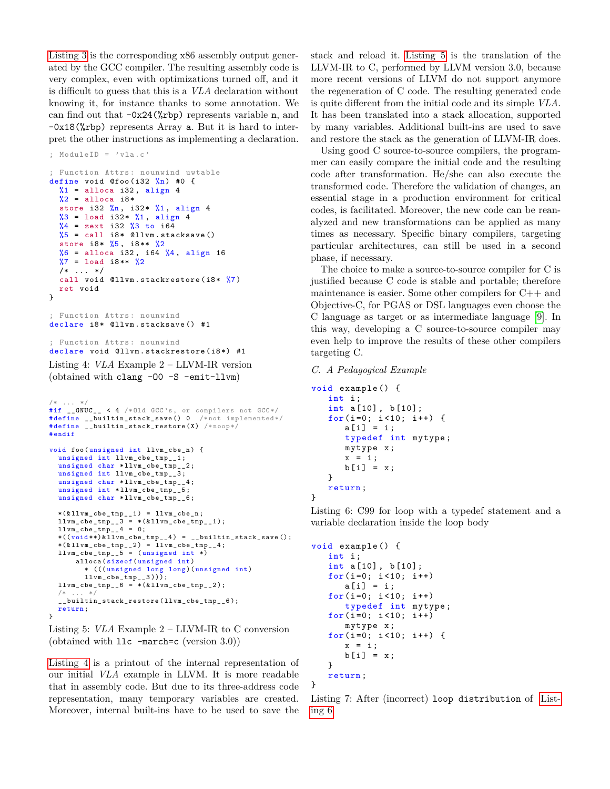Listing 3 is the corresponding x86 assembly output generated by the GCC compiler. The resulting assembly code is very complex, even with optimizations turned off, and it is difficult to guess that this is a *VLA* declaration without knowing it, for instance thanks to some annotation. We can find out that  $-\frac{0x}{4}$ ( $\pi$ bp) represents variable n, and -0x18(%rbp) represents Array a. But it is hard to interpret the other instructions as implementing a declaration.

```
; ModuleID = 'vla.c'
; Function Attrs: nounwind uwtable
define void @foo(i32 \binom{n}{n} #0 {
  %1 = alloca i32, align 4
  %2 = alloca i8*
  store i32 \frac{9}{6}n, i32* \frac{9}{6}1, align 4
  %3 = load i32* %1, align 4
  %4 = zext i32 %3 to i64
  %5 = \text{call } i8* @llvm.stacksave()
  store i8* %5 , i8 ** %2
  %6 = alloca i32, i64 %4, align 16
  \frac{2}{37} = load i8** \frac{2}{32}/* ... */
  call void @llvm . stackrestore (i8* %7)
  ret void
}
```

```
Function Attrs: nounwind
declare i8* @llvm . stacksave () #1
```

```
; Function Attrs: nounwind
declare void @llvm.stackrestore(i8*) #1
```
Listing 4: *VLA* Example 2 – LLVM-IR version (obtained with clang -O0 -S -emit-llvm)

```
/* ... */
#if __GNUC__ < 4 /* Old GCC 's, or compilers not GCC */
# define __builtin_stack_save () 0 /*not implemented */
# define __builtin_stack_restore (X) /* noop */
# endif
void foo (unsigned int llvm_cbe_n) {
  unsigned int llvm_cbe_tmp__1;
  unsigned char *11vm_cbe_tmp__2;
  unsigned int llvm_cbe_tmp_3;
  unsigned char *11vm_cbe_tmp__4;
  unsigned int *11vm_cbe_tmp__5;
  unsigned char *11vm cbe tmp 6 ;
  *(\texttt{\&}\texttt{llvm\_cbe\_tmp\_1})\ =\ \texttt{llvm\_cbe\_n}\,;llvm_cbe_tmp__3 = *(& llvm_cbe_tmp__1 );
llvm_cbe_tmp__4 = 0;
  *((\text{void}**)\&\text{llvm}\_\text{che\_tmp}\_\text{4}) = \text{__builtin}\_\text{stack\_save}();*(& llvm_cbe_tmp__2 ) = llvm_cbe_tmp__4 ;
llvm_cbe_tmp__5 = ( unsigned int *)
       alloca (sizeof (unsigned int)
         * ((( unsigned long long )( unsigned int )
         \text{llvm\_che\_tmp\_3}));
  llvm\_cbe\_tmp\_6 = *(& llvm\_cbe\_tmp\_2 );/ *__builtin_stack_restore ( llvm_cbe_tmp__6 );
  return ;
}
```
Listing 5: *VLA* Example 2 – LLVM-IR to C conversion (obtained with llc -march=c (version 3.0))

Listing 4 is a printout of the internal representation of our initial *VLA* example in LLVM. It is more readable that in assembly code. But due to its three-address code representation, many temporary variables are created. Moreover, internal built-ins have to be used to save the

stack and reload it. Listing 5 is the translation of the LLVM-IR to C, performed by LLVM version 3.0, because more recent versions of LLVM do not support anymore the regeneration of C code. The resulting generated code is quite different from the initial code and its simple *VLA*. It has been translated into a stack allocation, supported by many variables. Additional built-ins are used to save and restore the stack as the generation of LLVM-IR does.

Using good C source-to-source compilers, the programmer can easily compare the initial code and the resulting code after transformation. He/she can also execute the transformed code. Therefore the validation of changes, an essential stage in a production environment for critical codes, is facilitated. Moreover, the new code can be reanalyzed and new transformations can be applied as many times as necessary. Specific binary compilers, targeting particular architectures, can still be used in a second phase, if necessary.

The choice to make a source-to-source compiler for C is justified because C code is stable and portable; therefore maintenance is easier. Some other compilers for C++ and Objective-C, for PGAS or DSL languages even choose the C language as target or as intermediate language [9]. In this way, developing a C source-to-source compiler may even help to improve the results of these other compilers targeting C.

#### *C. A Pedagogical Example*

```
void example () {
   int i;
   int a[10] , b [10];
   for(i=0; i < 10; i++) {
      a[i] = i;typedef int mytype ;
      mytype x;
      x = i;
      b[i] = x;}
   return ;
}
```
Listing 6: C99 for loop with a typedef statement and a variable declaration inside the loop body

```
void example () {
   int i;
   int a[10] , b [10];
   for(i=0; i < 10; i++)a[i] = i;for(i=0; i < 10; i++)typedef int mytype ;
   for(i=0; i < 10; i++)mytype x;
   for(i=0; i<10; i++) {
      x = i;b[i] = x;}
   return ;
}
```
Listing 7: After (incorrect) loop distribution of Listing 6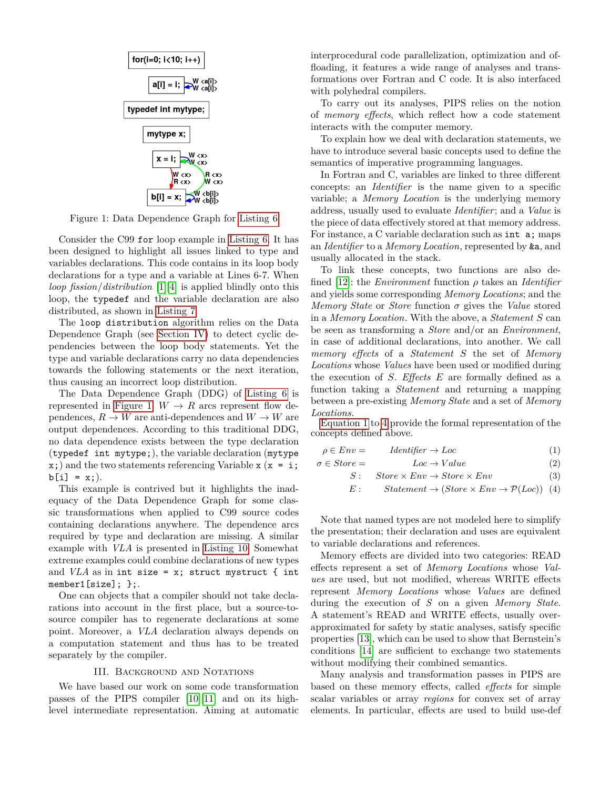

Figure 1: Data Dependence Graph for Listing 6

Consider the C99 for loop example in Listing 6. It has been designed to highlight all issues linked to type and variables declarations. This code contains in its loop body declarations for a type and a variable at Lines 6-7. When *loop fission*/*distribution* [1][4] is applied blindly onto this loop, the typedef and the variable declaration are also distributed, as shown in Listing 7.

The loop distribution algorithm relies on the Data Dependence Graph (see Section IV) to detect cyclic dependencies between the loop body statements. Yet the type and variable declarations carry no data dependencies towards the following statements or the next iteration, thus causing an incorrect loop distribution.

The Data Dependence Graph (DDG) of Listing 6 is represented in Figure 1.  $W \to R$  arcs represent flow dependences,  $R \to W$  are anti-dependences and  $W \to W$  are output dependences. According to this traditional DDG, no data dependence exists between the type declaration (typedef int mytype;), the variable declaration (mytype  $x$ ;) and the two statements referencing Variable  $x (x = i;$  $b[i] = x;$ 

This example is contrived but it highlights the inadequacy of the Data Dependence Graph for some classic transformations when applied to C99 source codes containing declarations anywhere. The dependence arcs required by type and declaration are missing. A similar example with *VLA* is presented in Listing 10. Somewhat extreme examples could combine declarations of new types and  $VLA$  as in int size = x; struct mystruct { int member1[size]; };.

One can objects that a compiler should not take declarations into account in the first place, but a source-tosource compiler has to regenerate declarations at some point. Moreover, a *VLA* declaration always depends on a computation statement and thus has to be treated separately by the compiler.

#### III. Background and Notations

We have based our work on some code transformation passes of the PIPS compiler [10][11] and on its highlevel intermediate representation. Aiming at automatic interprocedural code parallelization, optimization and offloading, it features a wide range of analyses and transformations over Fortran and C code. It is also interfaced with polyhedral compilers.

To carry out its analyses, PIPS relies on the notion of *memory effects*, which reflect how a code statement interacts with the computer memory.

To explain how we deal with declaration statements, we have to introduce several basic concepts used to define the semantics of imperative programming languages.

In Fortran and C, variables are linked to three different concepts: an *Identifier* is the name given to a specific variable; a *Memory Location* is the underlying memory address, usually used to evaluate *Identifier*; and a *Value* is the piece of data effectively stored at that memory address. For instance, a C variable declaration such as int a; maps an *Identifier* to a *Memory Location*, represented by &a, and usually allocated in the stack.

To link these concepts, two functions are also defined [12]: the *Environment* function *ρ* takes an *Identifier* and yields some corresponding *Memory Locations*; and the *Memory State* or *Store* function *σ* gives the *Value* stored in a *Memory Location*. With the above, a *Statement S* can be seen as transforming a *Store* and/or an *Environment*, in case of additional declarations, into another. We call *memory effects* of a *Statement S* the set of *Memory Locations* whose *Values* have been used or modified during the execution of *S*. *Effects E* are formally defined as a function taking a *Statement* and returning a mapping between a pre-existing *Memory State* and a set of *Memory Locations*.

Equation 1 to 4 provide the formal representation of the concepts defined above.

$$
\rho \in Env = \tIdentifier \to Loc \t(1)
$$

 $\sigma \in Store =$  *Loc* → *Value* (2)

$$
S: \quad Store \times Env \rightarrow Store \times Env \tag{3}
$$

 $E:$  *Statement*  $\rightarrow$  (*Store*  $\times$  *Env*  $\rightarrow$   $\mathcal{P}(Loc)$ ) (4)

Note that named types are not modeled here to simplify the presentation; their declaration and uses are equivalent to variable declarations and references.

Memory effects are divided into two categories: READ effects represent a set of *Memory Locations* whose *Values* are used, but not modified, whereas WRITE effects represent *Memory Locations* whose *Values* are defined during the execution of *S* on a given *Memory State*. A statement's READ and WRITE effects, usually overapproximated for safety by static analyses, satisfy specific properties [13], which can be used to show that Bernstein's conditions [14] are sufficient to exchange two statements without modifying their combined semantics.

Many analysis and transformation passes in PIPS are based on these memory effects, called *effects* for simple scalar variables or array *regions* for convex set of array elements. In particular, effects are used to build use-def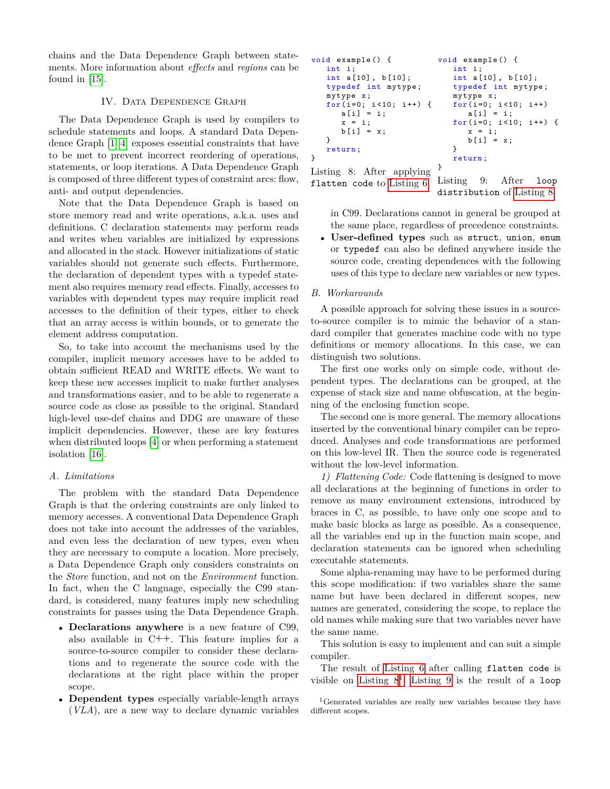chains and the Data Dependence Graph between statements. More information about *effects* and *regions* can be found in [15].

#### IV. DATA DEPENDENCE GRAPH

The Data Dependence Graph is used by compilers to schedule statements and loops. A standard Data Dependence Graph [1][4] exposes essential constraints that have to be met to prevent incorrect reordering of operations, statements, or loop iterations. A Data Dependence Graph is composed of three different types of constraint arcs: flow, anti- and output dependencies.

Note that the Data Dependence Graph is based on store memory read and write operations, a.k.a. uses and definitions. C declaration statements may perform reads and writes when variables are initialized by expressions and allocated in the stack. However initializations of static variables should not generate such effects. Furthermore, the declaration of dependent types with a typedef statement also requires memory read effects. Finally, accesses to variables with dependent types may require implicit read accesses to the definition of their types, either to check that an array access is within bounds, or to generate the element address computation.

So, to take into account the mechanisms used by the compiler, implicit memory accesses have to be added to obtain sufficient READ and WRITE effects. We want to keep these new accesses implicit to make further analyses and transformations easier, and to be able to regenerate a source code as close as possible to the original. Standard high-level use-def chains and DDG are unaware of these implicit dependencies. However, these are key features when distributed loops [4] or when performing a statement isolation [16].

#### *A. Limitations*

The problem with the standard Data Dependence Graph is that the ordering constraints are only linked to memory accesses. A conventional Data Dependence Graph does not take into account the addresses of the variables, and even less the declaration of new types, even when they are necessary to compute a location. More precisely, a Data Dependence Graph only considers constraints on the *Store* function, and not on the *Environment* function. In fact, when the C language, especially the C99 standard, is considered, many features imply new scheduling constraints for passes using the Data Dependence Graph.

- **Declarations anywhere** is a new feature of C99, also available in C**++**. This feature implies for a source-to-source compiler to consider these declarations and to regenerate the source code with the declarations at the right place within the proper scope.
- **Dependent types** especially variable-length arrays (*VLA*), are a new way to declare dynamic variables

| void example() $\{$       | $void example() { }$           |
|---------------------------|--------------------------------|
| int i;                    | int i;                         |
| int $a[10]$ , $b[10]$ ;   | int $a[10]$ , $b[10]$ ;        |
| typedef int mytype;       | typedef int mytype;            |
| mytype x;                 | mytype x;                      |
| for(i=0; i<10; i++) {     | for(i=0; i<10; i++)            |
| $a[i] = i;$               | $a[i] = i;$                    |
| $x = i$ ;                 | for(i=0; i<10; i++) {          |
| $b[i] = x;$               | $x = i$ ;                      |
| ł                         | $b[i] = x;$                    |
| return:                   | ł                              |
| }                         | return:                        |
| Listing 8: After applying | }                              |
| flatten code to Listing 6 | 9:<br>After<br>Listing<br>loop |

in C99. Declarations cannot in general be grouped at the same place, regardless of precedence constraints.

distribution of Listing 8

• **User-defined types** such as struct, union, enum or typedef can also be defined anywhere inside the source code, creating dependences with the following uses of this type to declare new variables or new types.

#### *B. Workarounds*

A possible approach for solving these issues in a sourceto-source compiler is to mimic the behavior of a standard compiler that generates machine code with no type definitions or memory allocations. In this case, we can distinguish two solutions.

The first one works only on simple code, without dependent types. The declarations can be grouped, at the expense of stack size and name obfuscation, at the beginning of the enclosing function scope.

The second one is more general. The memory allocations inserted by the conventional binary compiler can be reproduced. Analyses and code transformations are performed on this low-level IR. Then the source code is regenerated without the low-level information.

*1) Flattening Code:* Code flattening is designed to move all declarations at the beginning of functions in order to remove as many environment extensions, introduced by braces in C, as possible, to have only one scope and to make basic blocks as large as possible. As a consequence, all the variables end up in the function main scope, and declaration statements can be ignored when scheduling executable statements.

Some alpha-renaming may have to be performed during this scope modification: if two variables share the same name but have been declared in different scopes, new names are generated, considering the scope, to replace the old names while making sure that two variables never have the same name.

This solution is easy to implement and can suit a simple compiler.

The result of Listing 6 after calling flatten code is visible on Listing  $8^1$ . Listing 9 is the result of a loop

<sup>1</sup>Generated variables are really new variables because they have different scopes.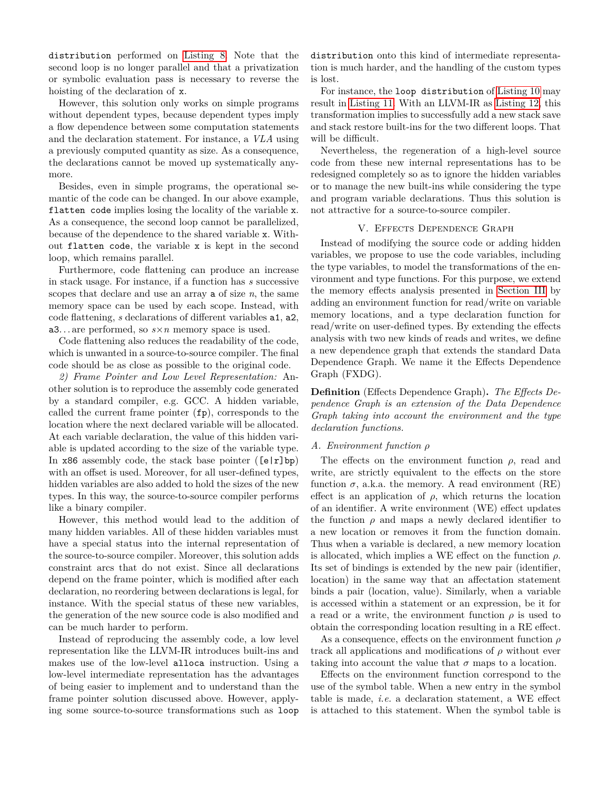distribution performed on Listing 8. Note that the second loop is no longer parallel and that a privatization or symbolic evaluation pass is necessary to reverse the hoisting of the declaration of x.

However, this solution only works on simple programs without dependent types, because dependent types imply a flow dependence between some computation statements and the declaration statement. For instance, a *VLA* using a previously computed quantity as size. As a consequence, the declarations cannot be moved up systematically anymore.

Besides, even in simple programs, the operational semantic of the code can be changed. In our above example, flatten code implies losing the locality of the variable x. As a consequence, the second loop cannot be parallelized, because of the dependence to the shared variable x. Without flatten code, the variable x is kept in the second loop, which remains parallel.

Furthermore, code flattening can produce an increase in stack usage. For instance, if a function has *s* successive scopes that declare and use an array a of size *n*, the same memory space can be used by each scope. Instead, with code flattening, *s* declarations of different variables a1, a2, a3. . . are performed, so *s*×*n* memory space is used.

Code flattening also reduces the readability of the code, which is unwanted in a source-to-source compiler. The final code should be as close as possible to the original code.

*2) Frame Pointer and Low Level Representation:* Another solution is to reproduce the assembly code generated by a standard compiler, e.g. GCC. A hidden variable, called the current frame pointer (fp), corresponds to the location where the next declared variable will be allocated. At each variable declaration, the value of this hidden variable is updated according to the size of the variable type. In x86 assembly code, the stack base pointer ( $[e|r]bp$ ) with an offset is used. Moreover, for all user-defined types, hidden variables are also added to hold the sizes of the new types. In this way, the source-to-source compiler performs like a binary compiler.

However, this method would lead to the addition of many hidden variables. All of these hidden variables must have a special status into the internal representation of the source-to-source compiler. Moreover, this solution adds constraint arcs that do not exist. Since all declarations depend on the frame pointer, which is modified after each declaration, no reordering between declarations is legal, for instance. With the special status of these new variables, the generation of the new source code is also modified and can be much harder to perform.

Instead of reproducing the assembly code, a low level representation like the LLVM-IR introduces built-ins and makes use of the low-level alloca instruction. Using a low-level intermediate representation has the advantages of being easier to implement and to understand than the frame pointer solution discussed above. However, applying some source-to-source transformations such as loop distribution onto this kind of intermediate representation is much harder, and the handling of the custom types is lost.

For instance, the loop distribution of Listing 10 may result in Listing 11. With an LLVM-IR as Listing 12, this transformation implies to successfully add a new stack save and stack restore built-ins for the two different loops. That will be difficult.

Nevertheless, the regeneration of a high-level source code from these new internal representations has to be redesigned completely so as to ignore the hidden variables or to manage the new built-ins while considering the type and program variable declarations. Thus this solution is not attractive for a source-to-source compiler.

#### V. Effects Dependence Graph

Instead of modifying the source code or adding hidden variables, we propose to use the code variables, including the type variables, to model the transformations of the environment and type functions. For this purpose, we extend the memory effects analysis presented in Section III by adding an environment function for read/write on variable memory locations, and a type declaration function for read/write on user-defined types. By extending the effects analysis with two new kinds of reads and writes, we define a new dependence graph that extends the standard Data Dependence Graph. We name it the Effects Dependence Graph (FXDG).

**Definition** (Effects Dependence Graph)**.** *The Effects Dependence Graph is an extension of the Data Dependence Graph taking into account the environment and the type declaration functions.*

#### *A. Environment function ρ*

The effects on the environment function  $\rho$ , read and write, are strictly equivalent to the effects on the store function  $\sigma$ , a.k.a. the memory. A read environment (RE) effect is an application of  $\rho$ , which returns the location of an identifier. A write environment (WE) effect updates the function  $\rho$  and maps a newly declared identifier to a new location or removes it from the function domain. Thus when a variable is declared, a new memory location is allocated, which implies a WE effect on the function *ρ*. Its set of bindings is extended by the new pair (identifier, location) in the same way that an affectation statement binds a pair (location, value). Similarly, when a variable is accessed within a statement or an expression, be it for a read or a write, the environment function *ρ* is used to obtain the corresponding location resulting in a RE effect.

As a consequence, effects on the environment function *ρ* track all applications and modifications of *ρ* without ever taking into account the value that  $\sigma$  maps to a location.

Effects on the environment function correspond to the use of the symbol table. When a new entry in the symbol table is made, *i.e.* a declaration statement, a WE effect is attached to this statement. When the symbol table is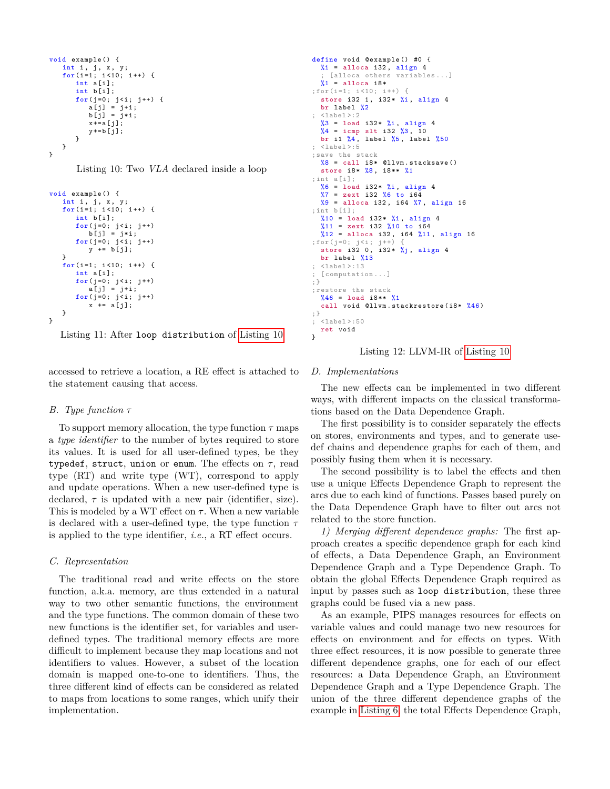```
void example () {
   int i, j, x, y;
   for (i=1; i<10; i++) {
       int a[i];
       int b[i];
       for (j=0; j < i; j++) {
           a[j] = j+i;
b[j] = j*i;
          x+=a[j];y+=b [j];
       }
   }
}
```
Listing 10: Two *VLA* declared inside a loop

```
void example () {
   int i, j, x, y;
   for (i=1; i<10; i++) {
       int b[i];
       for (j=0; j < i; j++)b[j] = j * i;for (j=0; j < i; j++)y \leftarrow b[j];}
   for (i=1; i<10; i++) {
       int a[i];
       for (j=0; j < i; j++)a[j] = j+i;
for (j =0; j<i; j ++)
x += a[j];
   }
}
```
Listing 11: After loop distribution of Listing 10

accessed to retrieve a location, a RE effect is attached to the statement causing that access.

#### *B. Type function τ*

To support memory allocation, the type function *τ* maps a *type identifier* to the number of bytes required to store its values. It is used for all user-defined types, be they typedef, struct, union or enum. The effects on *τ*, read type (RT) and write type (WT), correspond to apply and update operations. When a new user-defined type is declared,  $\tau$  is updated with a new pair (identifier, size). This is modeled by a WT effect on  $\tau$ . When a new variable is declared with a user-defined type, the type function *τ* is applied to the type identifier, *i.e.*, a RT effect occurs.

#### *C. Representation*

The traditional read and write effects on the store function, a.k.a. memory, are thus extended in a natural way to two other semantic functions, the environment and the type functions. The common domain of these two new functions is the identifier set, for variables and userdefined types. The traditional memory effects are more difficult to implement because they map locations and not identifiers to values. However, a subset of the location domain is mapped one-to-one to identifiers. Thus, the three different kind of effects can be considered as related to maps from locations to some ranges, which unify their implementation.

```
define void @example () #0 {
  %i = alloca i32, align 4
  ; [ alloca others variables ...]
  %1 = alloca i8*
; for (i =1; i <10; i ++) {
  store i32 1, i32* %i, align 4
  br label %2
; <label >:2
  %3 = load i32* %i, align 4<br>%4 = icmp slt i32 %3, 10
  br i1 \frac{4}{9}, label \frac{4}{9}, label \frac{4}{9}; <label >:5
; save the stack
  %8 = \text{call } i8* \text{ @llvm} .stacksave()store i8* %8, i8** %1
; int a[i];
  %6 = load i32* %i, align 4
  \frac{27}{17} = zext i32 %6 to i64
  %9 = alloca i32, i64 %7, align 16
; int b[i];
  %10 = load i32* %i, align 4
  %11 = zext i32 %10 to i64
  %12 = alloca i32, i64 %11, align 16
; for ( j = 0 ; j < i ; j++)store i32 0, i32* \frac{1}{2}, align 4
  br label %13
; <label >:13
; [ computation ...]
;}
; restore the stack
  %46 = load i8** %1call void @llvm.stackrestore(i8* %46)
;}
; <label >:50
  ret void
}
```
Listing 12: LLVM-IR of Listing 10

#### *D. Implementations*

The new effects can be implemented in two different ways, with different impacts on the classical transformations based on the Data Dependence Graph.

The first possibility is to consider separately the effects on stores, environments and types, and to generate usedef chains and dependence graphs for each of them, and possibly fusing them when it is necessary.

The second possibility is to label the effects and then use a unique Effects Dependence Graph to represent the arcs due to each kind of functions. Passes based purely on the Data Dependence Graph have to filter out arcs not related to the store function.

*1) Merging different dependence graphs:* The first approach creates a specific dependence graph for each kind of effects, a Data Dependence Graph, an Environment Dependence Graph and a Type Dependence Graph. To obtain the global Effects Dependence Graph required as input by passes such as loop distribution, these three graphs could be fused via a new pass.

As an example, PIPS manages resources for effects on variable values and could manage two new resources for effects on environment and for effects on types. With three effect resources, it is now possible to generate three different dependence graphs, one for each of our effect resources: a Data Dependence Graph, an Environment Dependence Graph and a Type Dependence Graph. The union of the three different dependence graphs of the example in Listing 6, the total Effects Dependence Graph,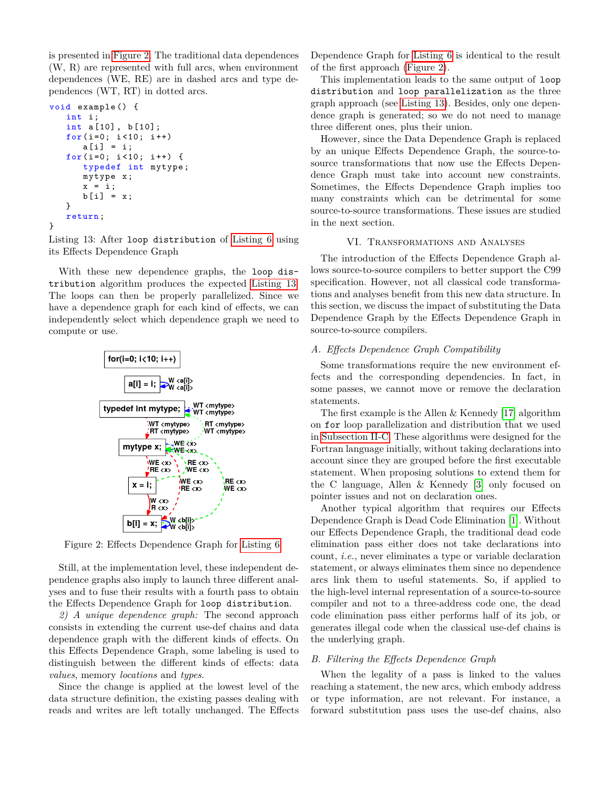is presented in Figure 2. The traditional data dependences (W, R) are represented with full arcs, when environment dependences (WE, RE) are in dashed arcs and type dependences (WT, RT) in dotted arcs.

```
void example () {
   int i;
   int a[10] , b [10];
   for (i=0; i<10; i++)a[i] = i;for (i=0; i<10; i++) {
      typedef int mytype ;
      mytype x;
      x = i;b[i] = x;}
   return ;
}
```
Listing 13: After loop distribution of Listing 6 using its Effects Dependence Graph

With these new dependence graphs, the loop distribution algorithm produces the expected Listing 13. The loops can then be properly parallelized. Since we have a dependence graph for each kind of effects, we can independently select which dependence graph we need to compute or use.



Figure 2: Effects Dependence Graph for Listing 6

Still, at the implementation level, these independent dependence graphs also imply to launch three different analyses and to fuse their results with a fourth pass to obtain the Effects Dependence Graph for loop distribution.

*2) A unique dependence graph:* The second approach consists in extending the current use-def chains and data dependence graph with the different kinds of effects. On this Effects Dependence Graph, some labeling is used to distinguish between the different kinds of effects: data *values*, memory *locations* and *types*.

Since the change is applied at the lowest level of the data structure definition, the existing passes dealing with reads and writes are left totally unchanged. The Effects Dependence Graph for Listing 6 is identical to the result of the first approach (Figure 2).

This implementation leads to the same output of loop distribution and loop parallelization as the three graph approach (see Listing 13). Besides, only one dependence graph is generated; so we do not need to manage three different ones, plus their union.

However, since the Data Dependence Graph is replaced by an unique Effects Dependence Graph, the source-tosource transformations that now use the Effects Dependence Graph must take into account new constraints. Sometimes, the Effects Dependence Graph implies too many constraints which can be detrimental for some source-to-source transformations. These issues are studied in the next section.

#### VI. Transformations and Analyses

The introduction of the Effects Dependence Graph allows source-to-source compilers to better support the C99 specification. However, not all classical code transformations and analyses benefit from this new data structure. In this section, we discuss the impact of substituting the Data Dependence Graph by the Effects Dependence Graph in source-to-source compilers.

#### *A. Effects Dependence Graph Compatibility*

Some transformations require the new environment effects and the corresponding dependencies. In fact, in some passes, we cannot move or remove the declaration statements.

The first example is the Allen & Kennedy [17] algorithm on for loop parallelization and distribution that we used in Subsection II-C. These algorithms were designed for the Fortran language initially, without taking declarations into account since they are grouped before the first executable statement. When proposing solutions to extend them for the C language, Allen & Kennedy [3] only focused on pointer issues and not on declaration ones.

Another typical algorithm that requires our Effects Dependence Graph is Dead Code Elimination [1]. Without our Effects Dependence Graph, the traditional dead code elimination pass either does not take declarations into count, *i.e.*, never eliminates a type or variable declaration statement, or always eliminates them since no dependence arcs link them to useful statements. So, if applied to the high-level internal representation of a source-to-source compiler and not to a three-address code one, the dead code elimination pass either performs half of its job, or generates illegal code when the classical use-def chains is the underlying graph.

#### *B. Filtering the Effects Dependence Graph*

When the legality of a pass is linked to the values reaching a statement, the new arcs, which embody address or type information, are not relevant. For instance, a forward substitution pass uses the use-def chains, also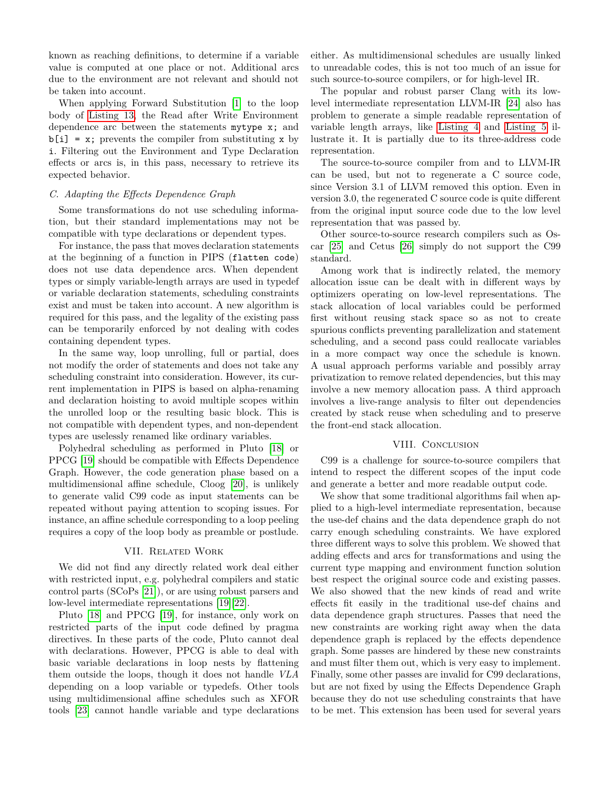known as reaching definitions, to determine if a variable value is computed at one place or not. Additional arcs due to the environment are not relevant and should not be taken into account.

When applying Forward Substitution [1] to the loop body of Listing 13, the Read after Write Environment dependence arc between the statements mytype x; and  $b[i] = x$ ; prevents the compiler from substituting x by i. Filtering out the Environment and Type Declaration effects or arcs is, in this pass, necessary to retrieve its expected behavior.

#### *C. Adapting the Effects Dependence Graph*

Some transformations do not use scheduling information, but their standard implementations may not be compatible with type declarations or dependent types.

For instance, the pass that moves declaration statements at the beginning of a function in PIPS (flatten code) does not use data dependence arcs. When dependent types or simply variable-length arrays are used in typedef or variable declaration statements, scheduling constraints exist and must be taken into account. A new algorithm is required for this pass, and the legality of the existing pass can be temporarily enforced by not dealing with codes containing dependent types.

In the same way, loop unrolling, full or partial, does not modify the order of statements and does not take any scheduling constraint into consideration. However, its current implementation in PIPS is based on alpha-renaming and declaration hoisting to avoid multiple scopes within the unrolled loop or the resulting basic block. This is not compatible with dependent types, and non-dependent types are uselessly renamed like ordinary variables.

Polyhedral scheduling as performed in Pluto [18] or PPCG [19] should be compatible with Effects Dependence Graph. However, the code generation phase based on a multidimensional affine schedule, Cloog [20], is unlikely to generate valid C99 code as input statements can be repeated without paying attention to scoping issues. For instance, an affine schedule corresponding to a loop peeling requires a copy of the loop body as preamble or postlude.

#### VII. Related Work

We did not find any directly related work deal either with restricted input, e.g. polyhedral compilers and static control parts (SCoPs [21]), or are using robust parsers and low-level intermediate representations [19][22].

Pluto [18] and PPCG [19], for instance, only work on restricted parts of the input code defined by pragma directives. In these parts of the code, Pluto cannot deal with declarations. However, PPCG is able to deal with basic variable declarations in loop nests by flattening them outside the loops, though it does not handle *VLA* depending on a loop variable or typedefs. Other tools using multidimensional affine schedules such as XFOR tools [23] cannot handle variable and type declarations either. As multidimensional schedules are usually linked to unreadable codes, this is not too much of an issue for such source-to-source compilers, or for high-level IR.

The popular and robust parser Clang with its lowlevel intermediate representation LLVM-IR [24] also has problem to generate a simple readable representation of variable length arrays, like Listing 4 and Listing 5 illustrate it. It is partially due to its three-address code representation.

The source-to-source compiler from and to LLVM-IR can be used, but not to regenerate a C source code, since Version 3.1 of LLVM removed this option. Even in version 3.0, the regenerated C source code is quite different from the original input source code due to the low level representation that was passed by.

Other source-to-source research compilers such as Oscar [25] and Cetus [26] simply do not support the C99 standard.

Among work that is indirectly related, the memory allocation issue can be dealt with in different ways by optimizers operating on low-level representations. The stack allocation of local variables could be performed first without reusing stack space so as not to create spurious conflicts preventing parallelization and statement scheduling, and a second pass could reallocate variables in a more compact way once the schedule is known. A usual approach performs variable and possibly array privatization to remove related dependencies, but this may involve a new memory allocation pass. A third approach involves a live-range analysis to filter out dependencies created by stack reuse when scheduling and to preserve the front-end stack allocation.

#### VIII. Conclusion

C99 is a challenge for source-to-source compilers that intend to respect the different scopes of the input code and generate a better and more readable output code.

We show that some traditional algorithms fail when applied to a high-level intermediate representation, because the use-def chains and the data dependence graph do not carry enough scheduling constraints. We have explored three different ways to solve this problem. We showed that adding effects and arcs for transformations and using the current type mapping and environment function solution best respect the original source code and existing passes. We also showed that the new kinds of read and write effects fit easily in the traditional use-def chains and data dependence graph structures. Passes that need the new constraints are working right away when the data dependence graph is replaced by the effects dependence graph. Some passes are hindered by these new constraints and must filter them out, which is very easy to implement. Finally, some other passes are invalid for C99 declarations, but are not fixed by using the Effects Dependence Graph because they do not use scheduling constraints that have to be met. This extension has been used for several years